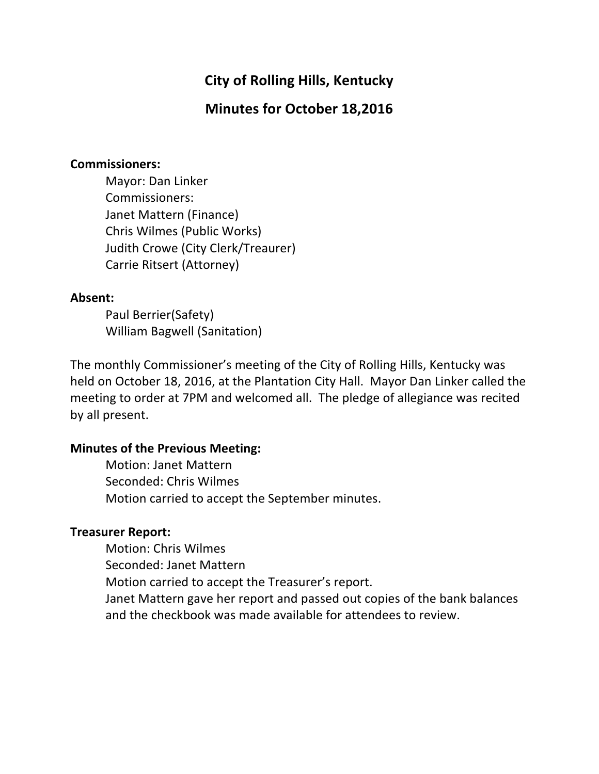# **City of Rolling Hills, Kentucky**

# **Minutes for October 18,2016**

#### **Commissioners:**

Mayor: Dan Linker Commissioners: Janet Mattern (Finance) Chris Wilmes (Public Works) Judith Crowe (City Clerk/Treaurer) Carrie Ritsert (Attorney)

### **Absent:**

Paul Berrier(Safety) William Bagwell (Sanitation)

The monthly Commissioner's meeting of the City of Rolling Hills, Kentucky was held on October 18, 2016, at the Plantation City Hall. Mayor Dan Linker called the meeting to order at 7PM and welcomed all. The pledge of allegiance was recited by all present.

### **Minutes of the Previous Meeting:**

Motion: Janet Mattern Seconded: Chris Wilmes Motion carried to accept the September minutes.

### **Treasurer Report:**

Motion: Chris Wilmes Seconded: Janet Mattern Motion carried to accept the Treasurer's report. Janet Mattern gave her report and passed out copies of the bank balances and the checkbook was made available for attendees to review.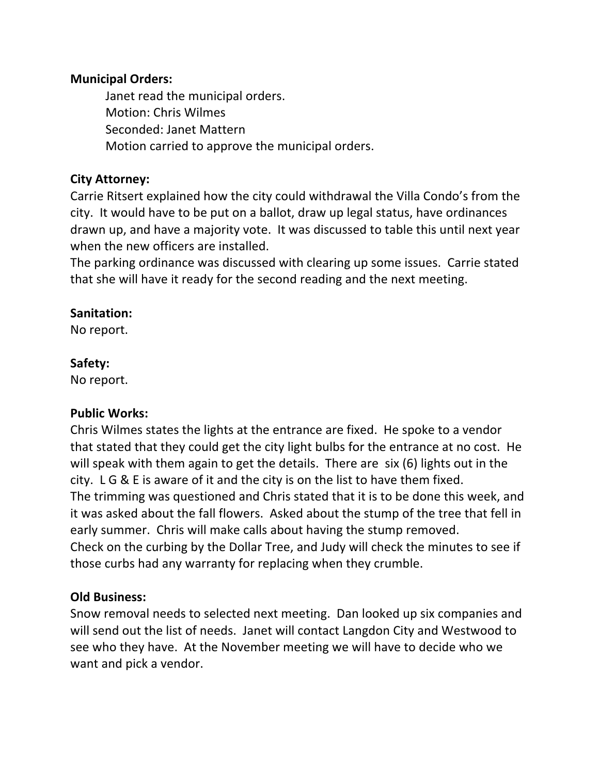### **Municipal Orders:**

Janet read the municipal orders. Motion: Chris Wilmes Seconded: Janet Mattern Motion carried to approve the municipal orders.

### **City Attorney:**

Carrie Ritsert explained how the city could withdrawal the Villa Condo's from the city. It would have to be put on a ballot, draw up legal status, have ordinances drawn up, and have a majority vote. It was discussed to table this until next year when the new officers are installed.

The parking ordinance was discussed with clearing up some issues. Carrie stated that she will have it ready for the second reading and the next meeting.

### **Sanitation:**

No report.

### **Safety:**

No report.

## **Public Works:**

Chris Wilmes states the lights at the entrance are fixed. He spoke to a vendor that stated that they could get the city light bulbs for the entrance at no cost. He will speak with them again to get the details. There are  $\sin(6)$  lights out in the city.  $L G & E$  is aware of it and the city is on the list to have them fixed. The trimming was questioned and Chris stated that it is to be done this week, and it was asked about the fall flowers. Asked about the stump of the tree that fell in early summer. Chris will make calls about having the stump removed. Check on the curbing by the Dollar Tree, and Judy will check the minutes to see if those curbs had any warranty for replacing when they crumble.

## **Old Business:**

Snow removal needs to selected next meeting. Dan looked up six companies and will send out the list of needs. Janet will contact Langdon City and Westwood to see who they have. At the November meeting we will have to decide who we want and pick a vendor.